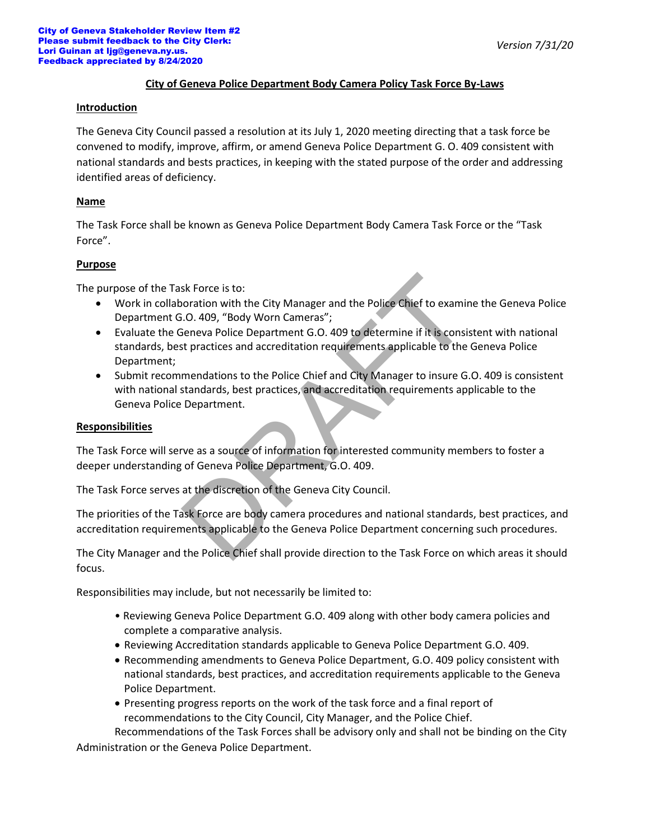# *Version 7/31/20*

## **City of Geneva Police Department Body Camera Policy Task Force By-Laws**

#### **Introduction**

The Geneva City Council passed a resolution at its July 1, 2020 meeting directing that a task force be convened to modify, improve, affirm, or amend Geneva Police Department G. O. 409 consistent with national standards and bests practices, in keeping with the stated purpose of the order and addressing identified areas of deficiency.

### **Name**

The Task Force shall be known as Geneva Police Department Body Camera Task Force or the "Task Force".

### **Purpose**

The purpose of the Task Force is to:

- Work in collaboration with the City Manager and the Police Chief to examine the Geneva Police Department G.O. 409, "Body Worn Cameras";
- Evaluate the Geneva Police Department G.O. 409 to determine if it is consistent with national standards, best practices and accreditation requirements applicable to the Geneva Police Department; sk Force is to:<br>
noration with the City Manager and the Police Chief to examin<br>
i.O. 409, "Body Worn Cameras";<br>
seneva Police Department G.O. 409 to determine if it is consist<br>
stractices and accreditation requirements app
- Submit recommendations to the Police Chief and City Manager to insure G.O. 409 is consistent with national standards, best practices, and accreditation requirements applicable to the Geneva Police Department.

#### **Responsibilities**

The Task Force will serve as a source of information for interested community members to foster a deeper understanding of Geneva Police Department, G.O. 409.

The Task Force serves at the discretion of the Geneva City Council.

The priorities of the Task Force are body camera procedures and national standards, best practices, and accreditation requirements applicable to the Geneva Police Department concerning such procedures.

The City Manager and the Police Chief shall provide direction to the Task Force on which areas it should focus.

Responsibilities may include, but not necessarily be limited to:

- Reviewing Geneva Police Department G.O. 409 along with other body camera policies and complete a comparative analysis.
- Reviewing Accreditation standards applicable to Geneva Police Department G.O. 409.
- Recommending amendments to Geneva Police Department, G.O. 409 policy consistent with national standards, best practices, and accreditation requirements applicable to the Geneva Police Department.
- Presenting progress reports on the work of the task force and a final report of recommendations to the City Council, City Manager, and the Police Chief.

Recommendations of the Task Forces shall be advisory only and shall not be binding on the City Administration or the Geneva Police Department.